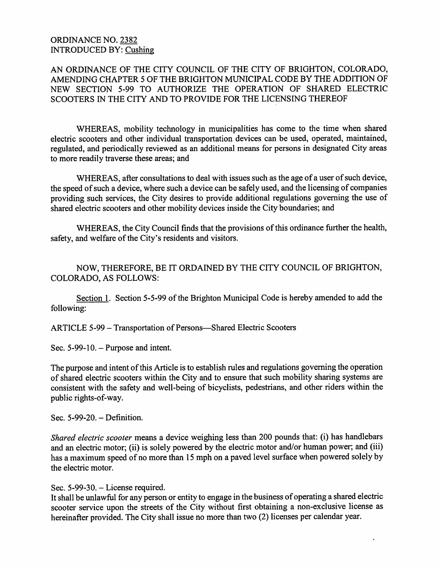## ORDINANCE NO. 2382 INTRODUCED BY: Cushing

AN ORDINANCE OF THE CITY COUNCIL OF THE CITY OF BRIGHTON, COLORADO, AMENDING CHAPTER 5 OF THE BRIGHTON MUNICIPAL CODE BY THE ADDITION OF NEW SECTION 5-99 TO AUTHORIZE THE OPERATION OF SHARED ELECTRIC SCOOTERS IN THE CITY AND TO PROVIDE FOR THE LICENSING THEREOF

WHEREAS, mobility technology in municipalities has come to the time when shared electric scooters and other individual transportation devices can be used, operated, maintained, regulated, and periodically reviewed as an additional means for persons in designated City areas to more readily traverse these areas; and

WHEREAS, after consultations to deal with issues such as the age of a user of such device, the speed of such a device, where such a device can be safely used, and the licensing of companies providing such services, the City desires to provide additional regulations governing the use of shared electric scooters and other mobility devices inside the City boundaries; and

WHEREAS, the City Council finds that the provisions of this ordinance further the health, safety, and welfare of the City's residents and visitors.

NOW, THEREFORE, BE IT ORDAINED BY THE CITY COUNCIL OF BRIGHTON, COLORADO, AS FOLLOWS:

Section 1. Section 5-5-99 of the Brighton Municipal Code is hereby amended to add the following:

ARTICLE 5-99 – Transportation of Persons—Shared Electric Scooters

Sec.  $5-99-10$ . – Purpose and intent.

The purpose and intent of this Article is to establish rules and regulations governing the operation of shared electric scooters within the City and to ensure that such mobility sharing systems are consistent with the safety and well-being of bicyclists, pedestrians, and other riders within the public rights-of-way.

Sec. 5-99-20. – Definition.

Shared electric scooter means a device weighing less than 200 pounds that: (i) has handlebars and an electric motor; (ii) is solely powered by the electric motor and/or human power; and (iii) has a maximum speed of no more than 15 mph on a paved level surface when powered solely by the electric motor.

Sec. 5-99-30. - License required.

It shall be unlawful for any person or entity to engage in the business of operating a shared electric scooter service upon the streets of the City without first obtaining a non-exclusive license as hereinafter provided. The City shall issue no more than two (2) licenses per calendar year.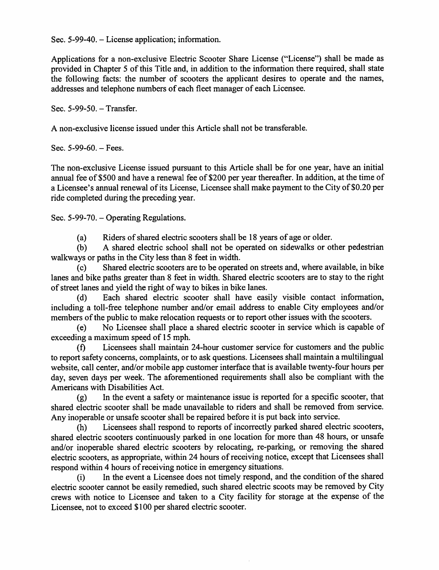Sec.  $5-99-40$ . – License application; information.

Applications for a non-exclusive Electric Scooter Share License ("License") shall be made as provided in Chapter 5 of this Title and, in addition to the information there required, shall state the following facts: the number of scooters the applicant desires to operate and the names, addresses and telephone numbers of each fleet manager of each Licensee.

Sec. 5-99-50. – Transfer.

A non-exclusive license issued under this Article shall not be transferable.

Sec.  $5-99-60.$  - Fees.

The non-exclusive License issued pursuant to this Article shall be for one year, have an initial annual fee of \$500 and have a renewal fee of \$200 per year thereafter. In addition, at the time of a Licensee's annual renewal of its License, Licensee shall make payment to the City of \$0.20 per ride completed during the preceding year.

Sec. 5-99-70. – Operating Regulations.

Riders of shared electric scooters shall be 18 years of age or older. (a)

A shared electric school shall not be operated on sidewalks or other pedestrian walkways or paths in the City less than 8 feet in width. (b)

Shared electric scooters are to be operated on streets and, where available, in bike lanes and bike paths greater than 8 feet in width. Shared electric scooters are to stay to the right of street lanes and yield the right of way to bikes in bike lanes. (c)

Each shared electric scooter shall have easily visible contact information, including a toll-free telephone number and/or email address to enable City employees and/or members of the public to make relocation requests or to report other issues with the scooters. (d)

No Licensee shall place a shared electric scooter in service which is capable of exceeding a maximum speed of 15 mph. (e)

Licensees shall maintain 24-hour customer service for customers and the public to report safety concerns, complaints, or to ask questions. Licensees shall maintain a multilingual website, call center, and/or mobile app customer interface that is available twenty-four hours per day, seven days per week. The aforementioned requirements shall also be compliant with the Americans with Disabilities Act. (f)

In the event a safety or maintenance issue is reported for a specific scooter, that shared electric scooter shall be made unavailable to riders and shall be removed from service. Any inoperable or unsafe scooter shall be repaired before it is put back into service. (g)

Licensees shall respond to reports of incorrectly parked shared electric scooters, shared electric scooters continuously parked in one location for more than 48 hours, or unsafe and/or inoperable shared electric scooters by relocating, re-parking, or removing the shared electric scooters, as appropriate, within 24 hours of receiving notice, except that Licensees shall respond within 4 hours of receiving notice in emergency situations.<br>(i) In the event a Licensee does not timely respond, and (h)

In the event a Licensee does not timely respond, and the condition of the shared electric scooter cannot be easily remedied, such shared electric scoots may be removed by City crews with notice to Licensee and taken to a City facility for storage at the expense of the Licensee, not to exceed \$ 100 per shared electric scooter. (i)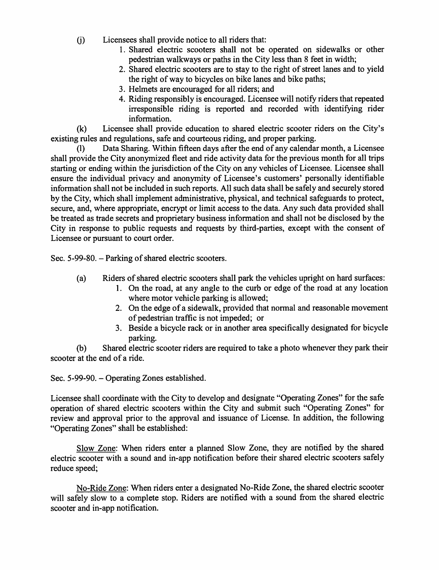- Licensees shall provide notice to all riders that: 0)
	- 1. Shared electrie scooters shall not he operated on sidewalks or other pedestrian walkways or paths in the City less than 8 feet in width;
	- 2. Shared eleetrie scooters are to stay to the right of street lanes and to yield the right of way to bieyeles on bike lanes and bike paths;
	- 3. Helmets are encouraged for all riders; and
	- 4. Riding responsibly is encouraged. Licensee will notify riders that repeated irresponsible riding is reported and recorded with identifying rider information.

Licensee shall provide education to shared electric scooter riders on the City's existing rules and regulations, safe and eourteous riding, and proper parking. (k)

Data Sharing. Within fifteen days after the end of any calendar month, a Licensee shall provide the City anonymized fleet and ride aetivity data for the previous month for all trips starting or ending within the jurisdiction of the City on any vehicles of Licensee. Licensee shall ensure the individual privacy and anonymity of Licensee's customers' personally identifiable information shall not be included in such reports. All such data shall be safely and securely stored by the City, which shall implement administrative, physical, and technical safeguards to protect, secure, and, where appropriate, encrypt or limit access to the data. Any such data provided shall be treated as trade secrets and proprietary business infonnation and shall not be diselosed by the City in response to public requests and requests by third-parties, except with the consent of Licensee or pursuant to eourt order. (1)

Sec. 5-99-80. - Parking of shared electrie scooters.

- Riders of shared electrie scooters shall park the vehicles upright on hard surfaees: (a)
	- 1. On the road, at any angle to the curb or edge of the road at any location where motor vehicle parking is allowed;
	- 2. On the edge of a sidewalk, provided that normal and reasonable movement of pedestrian traffie is not impeded; or
	- 3. Beside a bicycle rack or in another area specifically designated for bicycle parking.

Shared electrie seooter riders are required to take a photo whenever they park their (b) seooter at the end of a ride.

Sec. 5-99-90. - Operating Zones established.

Licensee shall coordinate with the City to develop and designate "Operating Zones" for the safe operation of shared eleetrie scooters within the City and submit such "Operating Zones" for review and approval prior to the approval and issuance of License. In addition, the following "Operating Zones" shall be established:

Slow Zone: When riders enter a planned Slow Zone, they are notified by the shared electric scooter with a sound and in-app notifieation before their shared electric scooters safely reduce speed;

No-Ride Zone: When riders enter a designated No-Ride Zone, the shared electric scooter will safely slow to a complete stop. Riders are notified with a sound from the shared electric scooter and in-app notification.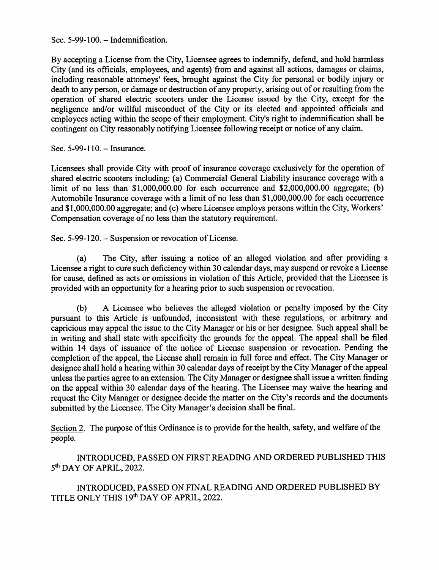Sec. 5-99-100. - Indemnification.

By accepting a License from the City, Licensee agrees to indemnify, defend, and hold harmless City (and its officials, employees, and agents) from and against all actions, damages or claims, including reasonable attorneys' fees, brought against the City for personal or bodily injury or death to any person, or damage or destruction of any property, arising out of or resulting from the operation of shared electric scooters under the License issued by the City, except for the negligence and/or willful misconduct of the City or its elected and appointed officials and employees acting within the scope of their employment. City's right to indemnification shall be contingent on City reasonably notifying Licensee following receipt or notice of any claim.

Sec.  $5-99-110$ . – Insurance.

Licensees shall provide City with proof of insurance coverage exclusively for the operation of shared electric scooters including: (a) Commercial General Liability insurance coverage with a limit of no less than \$1,000,000.00 for each occurrence and \$2,000,000.00 aggregate; (b) Automobile Insurance coverage with a limit of no less than \$1,000,000.00 for each occurrence and \$1,000,000.00 aggregate; and (c) where Licensee employs persons within the City, Workers' Compensation coverage of no less than the statutory requirement.

Sec. 5-99-120. - Suspension or revocation of License.

The City, after issuing a notice of an alleged violation and after providing a Licensee a right to cure such deficiency within 30 calendar days, may suspend or revoke a License for cause, defined as acts or omissions in violation of this Article, provided that the Licensee is provided with an opportunity for a hearing prior to such suspension or revocation. (a)

A Licensee who believes the alleged violation or penalty imposed by the City pursuant to this Article is unfounded, inconsistent with these regulations, or arbitrary and capricious may appeal the issue to the City Manager or his or her designee. Such appeal shall be in writing and shall state with specificity the grounds for the appeal. The appeal shall be filed within 14 days of issuance of the notice of License suspension or revocation. Pending the completion of the appeal, the License shall remain in full force and effect. The City Manager or designee shall hold a hearing within 30 calendar days of receipt by the City Manager of the appeal unless the parties agree to an extension. The City Manager or designee shall issue a written finding on the appeal within 30 calendar days of the hearing. The Licensee may waive the hearing and request the City Manager or designee decide the matter on the City's records and the documents submitted by the Licensee. The City Manager's decision shall be final. (b)

Section 2. The purpose of this Ordinance is to provide for the health, safety, and welfare of the people.

INTRODUCED, PASSED ON FIRST READING AND ORDERED PUBLISHED THIS 5<sup>th</sup> DAY OF APRIL, 2022.

INTRODUCED, PASSED ON FINAL READING AND ORDERED PUBLISHED BY TITLE ONLY THIS 19th DAY OF APRIL, 2022.